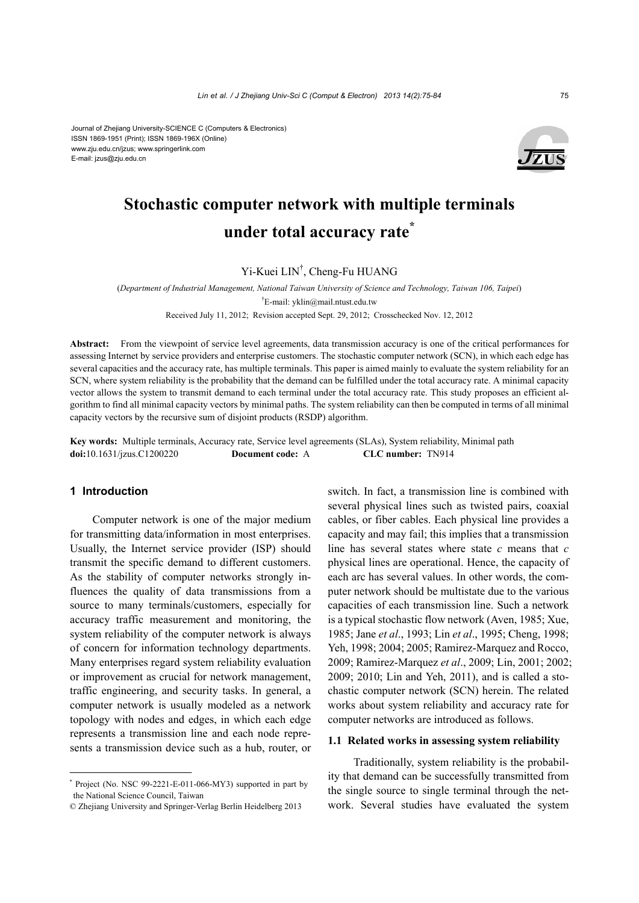

# **Stochastic computer network with multiple terminals under total accuracy rate\***

Yi-Kuei LIN† , Cheng-Fu HUANG

(*Department of Industrial Management, National Taiwan University of Science and Technology, Taiwan 106, Taipei*) † E-mail: yklin@mail.ntust.edu.tw

Received July 11, 2012; Revision accepted Sept. 29, 2012; Crosschecked Nov. 12, 2012

**Abstract:** From the viewpoint of service level agreements, data transmission accuracy is one of the critical performances for assessing Internet by service providers and enterprise customers. The stochastic computer network (SCN), in which each edge has several capacities and the accuracy rate, has multiple terminals. This paper is aimed mainly to evaluate the system reliability for an SCN, where system reliability is the probability that the demand can be fulfilled under the total accuracy rate. A minimal capacity vector allows the system to transmit demand to each terminal under the total accuracy rate. This study proposes an efficient algorithm to find all minimal capacity vectors by minimal paths. The system reliability can then be computed in terms of all minimal capacity vectors by the recursive sum of disjoint products (RSDP) algorithm.

**Key words:** Multiple terminals, Accuracy rate, Service level agreements (SLAs), System reliability, Minimal path **doi:**10.1631/jzus.C1200220 **Document code:** A **CLC number:** TN914

#### **1 Introduction**

Computer network is one of the major medium for transmitting data/information in most enterprises. Usually, the Internet service provider (ISP) should transmit the specific demand to different customers. As the stability of computer networks strongly influences the quality of data transmissions from a source to many terminals/customers, especially for accuracy traffic measurement and monitoring, the system reliability of the computer network is always of concern for information technology departments. Many enterprises regard system reliability evaluation or improvement as crucial for network management, traffic engineering, and security tasks. In general, a computer network is usually modeled as a network topology with nodes and edges, in which each edge represents a transmission line and each node represents a transmission device such as a hub, router, or

\* Project (No. NSC 99-2221-E-011-066-MY3) supported in part by the National Science Council, Taiwan

switch. In fact, a transmission line is combined with several physical lines such as twisted pairs, coaxial cables, or fiber cables. Each physical line provides a capacity and may fail; this implies that a transmission line has several states where state *c* means that *c* physical lines are operational. Hence, the capacity of each arc has several values. In other words, the computer network should be multistate due to the various capacities of each transmission line. Such a network is a typical stochastic flow network (Aven, 1985; Xue, 1985; Jane *et al*., 1993; Lin *et al*., 1995; Cheng, 1998; Yeh, 1998; 2004; 2005; Ramirez-Marquez and Rocco, 2009; Ramirez-Marquez *et al*., 2009; Lin, 2001; 2002; 2009; 2010; Lin and Yeh, 2011), and is called a stochastic computer network (SCN) herein. The related works about system reliability and accuracy rate for computer networks are introduced as follows.

# **1.1 Related works in assessing system reliability**

Traditionally, system reliability is the probability that demand can be successfully transmitted from the single source to single terminal through the network. Several studies have evaluated the system

<sup>©</sup> Zhejiang University and Springer-Verlag Berlin Heidelberg 2013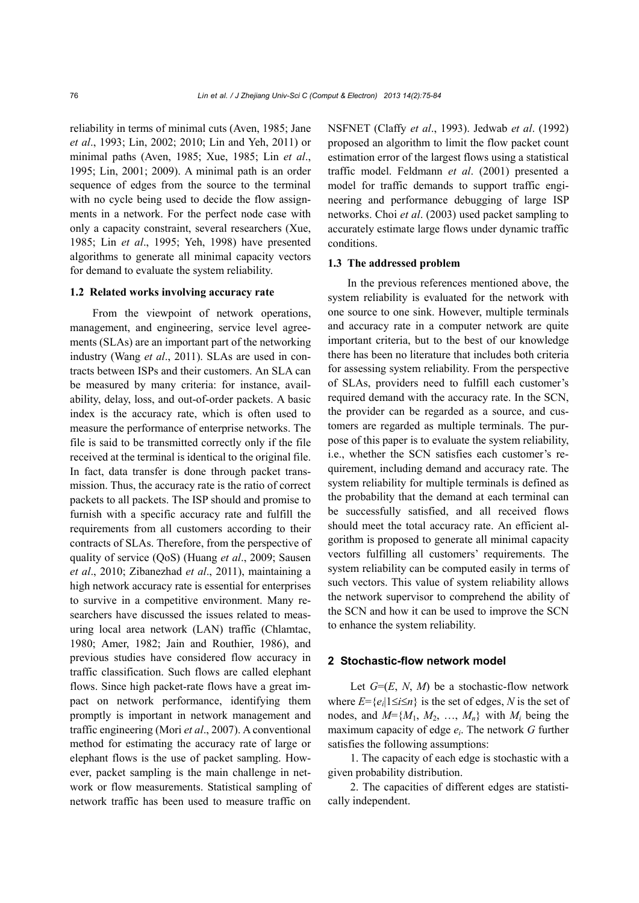reliability in terms of minimal cuts (Aven, 1985; Jane *et al*., 1993; Lin, 2002; 2010; Lin and Yeh, 2011) or minimal paths (Aven, 1985; Xue, 1985; Lin *et al*., 1995; Lin, 2001; 2009). A minimal path is an order sequence of edges from the source to the terminal with no cycle being used to decide the flow assignments in a network. For the perfect node case with only a capacity constraint, several researchers (Xue, 1985; Lin *et al*., 1995; Yeh, 1998) have presented algorithms to generate all minimal capacity vectors for demand to evaluate the system reliability.

#### **1.2 Related works involving accuracy rate**

From the viewpoint of network operations, management, and engineering, service level agreements (SLAs) are an important part of the networking industry (Wang *et al*., 2011). SLAs are used in contracts between ISPs and their customers. An SLA can be measured by many criteria: for instance, availability, delay, loss, and out-of-order packets. A basic index is the accuracy rate, which is often used to measure the performance of enterprise networks. The file is said to be transmitted correctly only if the file received at the terminal is identical to the original file. In fact, data transfer is done through packet transmission. Thus, the accuracy rate is the ratio of correct packets to all packets. The ISP should and promise to furnish with a specific accuracy rate and fulfill the requirements from all customers according to their contracts of SLAs. Therefore, from the perspective of quality of service (QoS) (Huang *et al*., 2009; Sausen *et al*., 2010; Zibanezhad *et al*., 2011), maintaining a high network accuracy rate is essential for enterprises to survive in a competitive environment. Many researchers have discussed the issues related to measuring local area network (LAN) traffic (Chlamtac, 1980; Amer, 1982; Jain and Routhier, 1986), and previous studies have considered flow accuracy in traffic classification. Such flows are called elephant flows. Since high packet-rate flows have a great impact on network performance, identifying them promptly is important in network management and traffic engineering (Mori *et al*., 2007). A conventional method for estimating the accuracy rate of large or elephant flows is the use of packet sampling. However, packet sampling is the main challenge in network or flow measurements. Statistical sampling of network traffic has been used to measure traffic on NSFNET (Claffy *et al*., 1993). Jedwab *et al*. (1992) proposed an algorithm to limit the flow packet count estimation error of the largest flows using a statistical traffic model. Feldmann *et al*. (2001) presented a model for traffic demands to support traffic engineering and performance debugging of large ISP networks. Choi *et al*. (2003) used packet sampling to accurately estimate large flows under dynamic traffic conditions.

#### **1.3 The addressed problem**

In the previous references mentioned above, the system reliability is evaluated for the network with one source to one sink. However, multiple terminals and accuracy rate in a computer network are quite important criteria, but to the best of our knowledge there has been no literature that includes both criteria for assessing system reliability. From the perspective of SLAs, providers need to fulfill each customer's required demand with the accuracy rate. In the SCN, the provider can be regarded as a source, and customers are regarded as multiple terminals. The purpose of this paper is to evaluate the system reliability, i.e., whether the SCN satisfies each customer's requirement, including demand and accuracy rate. The system reliability for multiple terminals is defined as the probability that the demand at each terminal can be successfully satisfied, and all received flows should meet the total accuracy rate. An efficient algorithm is proposed to generate all minimal capacity vectors fulfilling all customers' requirements. The system reliability can be computed easily in terms of such vectors. This value of system reliability allows the network supervisor to comprehend the ability of the SCN and how it can be used to improve the SCN to enhance the system reliability.

#### **2 Stochastic-flow network model**

Let  $G=(E, N, M)$  be a stochastic-flow network where  $E = \{e_i | 1 \le i \le n\}$  is the set of edges, *N* is the set of nodes, and  $M = \{M_1, M_2, ..., M_n\}$  with  $M_i$  being the maximum capacity of edge *ei*. The network *G* further satisfies the following assumptions:

1. The capacity of each edge is stochastic with a given probability distribution.

2. The capacities of different edges are statistically independent.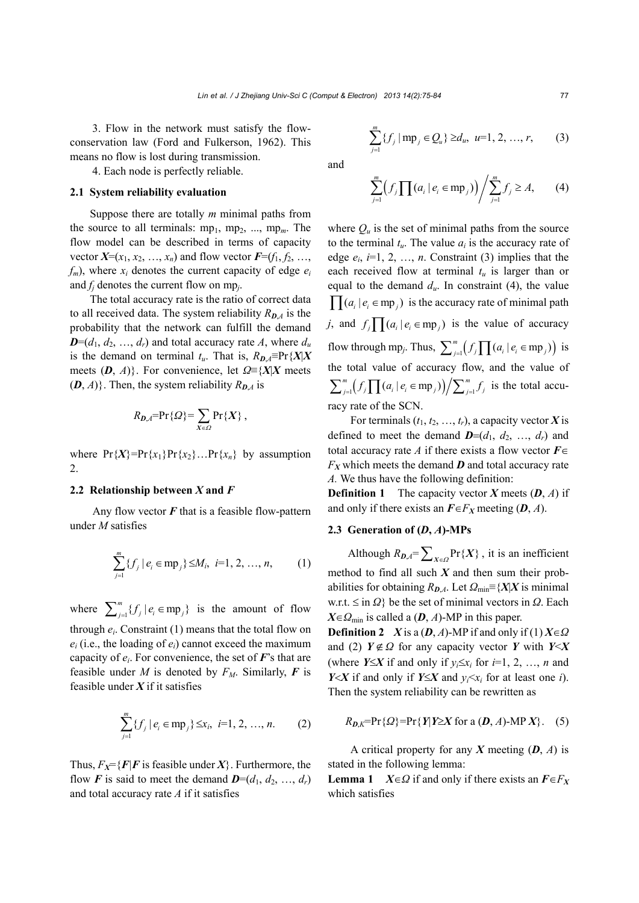3. Flow in the network must satisfy the flowconservation law (Ford and Fulkerson, 1962). This means no flow is lost during transmission.

4. Each node is perfectly reliable.

# **2.1 System reliability evaluation**

Suppose there are totally *m* minimal paths from the source to all terminals:  $mp_1$ ,  $mp_2$ , ...,  $mp_m$ . The flow model can be described in terms of capacity vector  $X=(x_1, x_2, ..., x_n)$  and flow vector  $F=(f_1, f_2, ..., f_n)$  $f_m$ ), where  $x_i$  denotes the current capacity of edge  $e_i$ and *fj* denotes the current flow on mp*j*.

The total accuracy rate is the ratio of correct data to all received data. The system reliability  $R_{DA}$  is the probability that the network can fulfill the demand  $D=(d_1, d_2, ..., d_r)$  and total accuracy rate *A*, where  $d_u$ is the demand on terminal  $t_u$ . That is,  $R_{D,A} \equiv Pr\{X|X\}$ meets  $(D, A)$ }. For convenience, let  $\Omega \equiv \{X|X\}$  meets  $(D, A)$ . Then, the system reliability  $R_{D,A}$  is

$$
R_{D,A} = \Pr\{Q\} = \sum_{X \in \Omega} \Pr\{X\},\,
$$

where  $Pr{X} = Pr{x_1}Pr{x_2}...Pr{x_n}$  by assumption 2.

# **2.2 Relationship between** *X* **and** *F*

Any flow vector *F* that is a feasible flow-pattern under *M* satisfies

$$
\sum_{j=1}^{m} \{f_j \mid e_i \in \text{mp}_j\} \le M_i, \ i=1, 2, ..., n,
$$
 (1)

where  $\sum_{j=1}^{m} {f_j | e_i \in mp_j}$  is the amount of flow through  $e_i$ . Constraint  $(1)$  means that the total flow on  $e_i$  (i.e., the loading of  $e_i$ ) cannot exceed the maximum capacity of  $e_i$ . For convenience, the set of  $F$ 's that are feasible under *M* is denoted by  $F_M$ . Similarly, **F** is feasible under *X* if it satisfies

$$
\sum_{j=1}^{m} \{f_j \mid e_i \in \text{mp}_j\} \leq x_i, \ i=1, 2, ..., n. \qquad (2)
$$

Thus,  $F_X = \{F | F$  is feasible under  $X\}$ . Furthermore, the flow *F* is said to meet the demand  $\boldsymbol{D}=(d_1, d_2, ..., d_r)$ and total accuracy rate *A* if it satisfies

$$
\sum_{j=1}^{m} \{f_j \, | \, mp_j \in Q_u\} \ge d_u, \ u=1, 2, ..., r, \qquad (3)
$$

and

$$
\sum_{j=1}^{m} \Bigl(f_j \prod (a_i \mid e_i \in \text{mp}_j) \Bigr) / \sum_{j=1}^{m} f_j \ge A, \qquad (4)
$$

where  $Q_u$  is the set of minimal paths from the source to the terminal  $t<sub>u</sub>$ . The value  $a<sub>i</sub>$  is the accuracy rate of edge  $e_i$ ,  $i=1, 2, ..., n$ . Constraint (3) implies that the each received flow at terminal  $t<sub>u</sub>$  is larger than or equal to the demand  $d_u$ . In constraint (4), the value  $\prod (a_i | e_i \in mp_i)$  is the accuracy rate of minimal path *j*, and  $f_j \prod (a_i | e_i \in mp_j)$  is the value of accuracy flow through mp<sub>j</sub>. Thus,  $\sum_{j=1}^{m} (f_j \prod (a_i | e_i \in mp_j))$  is the total value of accuracy flow, and the value of  $\sum_{j=1}^{m} (f_j \prod (a_i | e_i \in mp_j)) / \sum_{j=1}^{m} f_j$  is the total accuracy rate of the SCN.

For terminals  $(t_1, t_2, ..., t_r)$ , a capacity vector *X* is defined to meet the demand  $\boldsymbol{D}=(d_1, d_2, ..., d_r)$  and total accuracy rate *A* if there exists a flow vector  $F \in$  $F_X$  which meets the demand  $\bm{D}$  and total accuracy rate *A.* We thus have the following definition:

**Definition 1** The capacity vector *X* meets (*D*, *A*) if and only if there exists an  $\mathbf{F} \in F_X$  meeting  $(D, A)$ .

# 2.3 Generation of  $(D, A)$ -MPs

Although  $R_{D,A} = \sum_{X \in \Omega} Pr\{X\}$ , it is an inefficient method to find all such *X* and then sum their probabilities for obtaining  $R_{D,A}$ . Let  $\Omega_{min} \equiv \{X|X \text{ is minimal}\}$ w.r.t. ≤ in *Ω*} be the set of minimal vectors in *Ω*. Each  $X \in \Omega_{\min}$  is called a (*D*, *A*)-MP in this paper.

**Definition 2** *X* is a (*D*, *A*)-MP if and only if (1)  $X \in \Omega$ and (2)  $Y \notin \Omega$  for any capacity vector *Y* with *Y* < *X* (where *Y*<sup> $\le$ *X*</sup> if and only if *y<sub>i</sub>* $\le$ *x<sub>i</sub>* for *i*=1, 2, …, *n* and *Y* $X$  if and only if *Y* $\leq$ *X* and *y*<sub>*i*</sub> $\leq$ *x<sub>i</sub>* for at least one *i*). Then the system reliability can be rewritten as

$$
R_{D,K} = \Pr\{Q\} = \Pr\{Y|Y \ge X \text{ for a } (D, A) \text{-MP } X\}. \quad (5)
$$

A critical property for any *X* meeting (*D*, *A*) is stated in the following lemma:

**Lemma 1**  $X \in \Omega$  if and only if there exists an  $F \in F_X$ which satisfies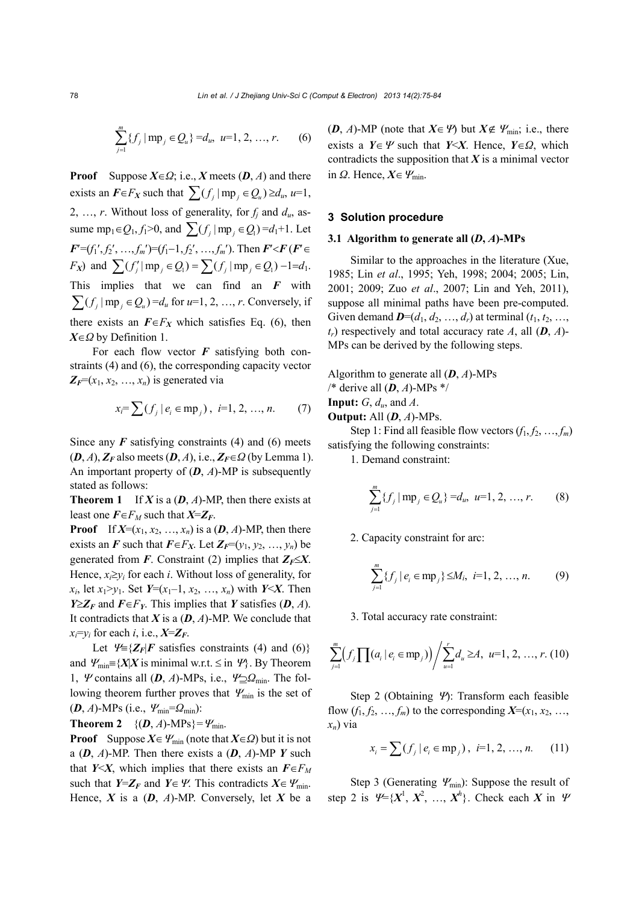$$
\sum_{j=1}^{m} \{f_j \mid \text{mp}_j \in Q_u\} = d_u, \ u=1, 2, ..., r. \qquad (6)
$$

**Proof** Suppose  $X \in \Omega$ ; i.e., *X* meets (*D*, *A*) and there exists an  $\mathbf{F} \in F_X$  such that  $\sum (f_i | mp_i \in Q_u) \ge d_u$ ,  $u=1$ , 2, ..., *r*. Without loss of generality, for  $f_i$  and  $d_u$ , assume mp<sub>1</sub> $\in Q_1, f_1 > 0$ , and  $\sum (f_i | mp_i \in Q_1) = d_1 + 1$ . Let  $F=(f_1', f_2', \ldots, f_m')=(f_1-1, f_2', \ldots, f_m')$ . Then  $F'\le F$  ( $F' \in$ *F<sub>X</sub>*) and  $\sum (f'_i | mp_i \in Q_i) = \sum (f_i | mp_i \in Q_i) - 1 = d_1$ . This implies that we can find an *F* with  $\sum (f_i | mp_i \in Q_i) = d_u$  for  $u=1, 2, ..., r$ . Conversely, if there exists an  $F \in F_X$  which satisfies Eq. (6), then *XΩ* by Definition 1.

For each flow vector *F* satisfying both constraints (4) and (6), the corresponding capacity vector  $Z_F=(x_1, x_2, \ldots, x_n)$  is generated via

$$
x_i = \sum (f_j \mid e_i \in \text{mp}_j), \ \ i=1, 2, ..., n. \tag{7}
$$

Since any  $\bf{F}$  satisfying constraints (4) and (6) meets  $(D, A), Z_F$  also meets  $(D, A),$  i.e.,  $Z_F \in \Omega$  (by Lemma 1). An important property of (*D*, *A*)-MP is subsequently stated as follows:

**Theorem 1** If *X* is a  $(D, A)$ -MP, then there exists at least one  $\vec{F} \in F_M$  such that  $\vec{X} = \vec{Z}_F$ .

**Proof** If  $X=(x_1, x_2, ..., x_n)$  is a  $(D, A)$ -MP, then there exists an *F* such that  $F \in F_X$ . Let  $Z_F=(y_1, y_2, \ldots, y_n)$  be generated from *F*. Constraint (2) implies that  $Z_F \leq X$ . Hence,  $x_i \geq v_i$  for each *i*. Without loss of generality, for *x<sub>i</sub>*, let *x*<sub>1</sub>>*y*<sub>1</sub>. Set *Y*=(*x*<sub>1</sub>-1, *x*<sub>2</sub>, …, *x<sub>n</sub>*) with *Y* < *X*. Then *Y* $\geq$ **Z**<sub>*F*</sub> and *F* $\in$ *F*<sub>*Y*</sub>. This implies that *Y* satisfies (*D*, *A*). It contradicts that  $X$  is a  $(D, A)$ -MP. We conclude that  $x_i = y_i$  for each *i*, i.e.,  $X = Z_F$ .

Let  $\mathcal{Y} = \{Z_F | F \text{ satisfies constraints (4) and (6)}\}$ and  $\mathcal{W}_{\text{min}} = \{X|X \text{ is minimal w.r.t. } \leq \text{in } \mathcal{W}\}\$ . By Theorem 1, *Ψ* contains all (*D*, *A*)-MPs, i.e.,  $\mathcal{V} \supseteq Q_{\min}$ . The following theorem further proves that  $\mathcal{Y}_{\text{min}}$  is the set of  $(D, A)$ -MPs (i.e.,  $\Psi_{\min} = \Omega_{\min}$ ):

**Theorem 2**  $\{(D, A)$ -MPs $\} = \Psi_{\text{min}}$ .

**Proof** Suppose  $X \in \mathcal{Y}_{\text{min}}$  (note that  $X \in \Omega$ ) but it is not a (*D*, *A*)-MP. Then there exists a (*D*, *A*)-MP *Y* such that *Y*<*X*, which implies that there exists an  $F \in F_M$ such that *Y*= $\mathbb{Z}_F$  and *Y*  $\in \mathcal{Y}$ . This contradicts *X* $\in \mathcal{Y}$ <sub>min</sub>. Hence,  $X$  is a  $(D, A)$ -MP. Conversely, let  $X$  be a  $(D, A)$ -MP (note that  $X \in \mathcal{Y}$ ) but  $X \notin \mathcal{Y}_{\text{min}}$ ; i.e., there exists a *Y* $\in$  *Y* such that *Y* $\le$ *X*. Hence, *Y* $\in$ *Ω*, which contradicts the supposition that *X* is a minimal vector in  $Q$ . Hence,  $X \in \mathcal{Y}_{\min}$ .

# **3 Solution procedure**

#### **3.1 Algorithm to generate all**  $(D, A)$ **-MPs**

Similar to the approaches in the literature (Xue, 1985; Lin *et al*., 1995; Yeh, 1998; 2004; 2005; Lin, 2001; 2009; Zuo *et al*., 2007; Lin and Yeh, 2011), suppose all minimal paths have been pre-computed. Given demand  $\mathbf{D}=(d_1, d_2, ..., d_r)$  at terminal  $(t_1, t_2, ...,$  $t_r$ ) respectively and total accuracy rate *A*, all  $(D, A)$ -MPs can be derived by the following steps.

Algorithm to generate all (*D*, *A*)-MPs /\* derive all (*D*, *A*)-MPs \*/

**Input:** *G*, *du*, and *A*.

**Output:** All (*D*, *A*)-MPs.

Step 1: Find all feasible flow vectors  $(f_1, f_2, ..., f_m)$ satisfying the following constraints:

1. Demand constraint:

$$
\sum_{j=1}^{m} \{f_j \mid \text{mp}_j \in Q_u\} = d_u, \ u=1, 2, ..., r. \qquad (8)
$$

2. Capacity constraint for arc:

$$
\sum_{j=1}^{m} \{f_j \mid e_i \in \text{mp}_j\} \le M_i, \ i=1, 2, ..., n. \tag{9}
$$

3. Total accuracy rate constraint:

$$
\sum_{j=1}^{m} \Bigl(f_j \prod (a_i \mid e_i \in \text{mp}_j) \Bigr) / \sum_{u=1}^{r} d_u \ge A, \ u=1, 2, \ldots, r. (10)
$$

Step 2 (Obtaining  $\Psi$ ): Transform each feasible flow  $(f_1, f_2, \ldots, f_m)$  to the corresponding  $X=(x_1, x_2, \ldots,$ *xn*) via

$$
x_i = \sum (f_j \mid e_i \in \text{mp}_j), \ \ i=1, 2, ..., n. \tag{11}
$$

Step 3 (Generating  $\mathcal{Y}_{\text{min}}$ ): Suppose the result of step 2 is  $\mathcal{V} = \{X^1, X^2, ..., X^h\}$ . Check each *X* in  $\mathcal{V}$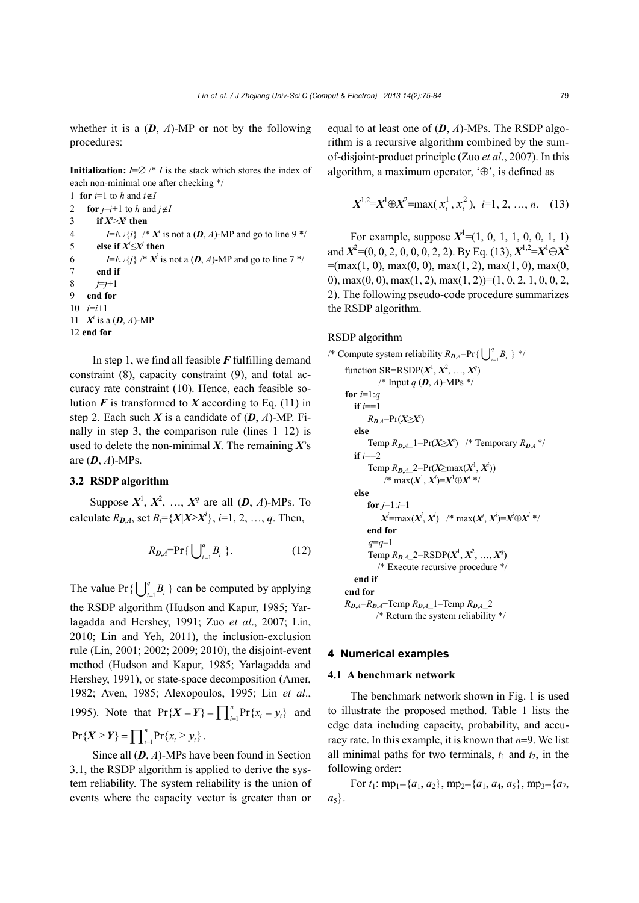whether it is a  $(D, A)$ -MP or not by the following procedures:

**Initialization:**  $I = \emptyset$  /\* *I* is the stack which stores the index of each non-minimal one after checking \*/

```
1 for i=1 to h and i \notin I2 for j=i+1 to h and j \notin I3 if X^i > X^j then
4 I=I\cup{i} /* X^i is not a (D, A)-MP and go to line 9 */
5 else if X^i \leq X^j then
6 I=I\cup{j} /* X<sup>j</sup> is not a (D, A)-MP and go to line 7 */
7 end if
8 j=j+1 
9 end for
10 i=i+1 
11 X^i is a (D, A)-MP
12 end for
```
In step 1, we find all feasible *F* fulfilling demand constraint (8), capacity constraint (9), and total accuracy rate constraint (10). Hence, each feasible solution  $\vec{F}$  is transformed to  $\vec{X}$  according to Eq. (11) in step 2. Each such *X* is a candidate of  $(D, A)$ -MP. Finally in step 3, the comparison rule (lines  $1-12$ ) is used to delete the non-minimal *X*. The remaining *X*'s are (*D*, *A*)-MPs.

#### **3.2 RSDP algorithm**

Suppose  $X^1, X^2, \ldots, X^q$  are all  $(D, A)$ -MPs. To calculate  $R_{D,A}$ , set  $B_i = \{X | X \ge X^i\}$ ,  $i=1, 2, ..., q$ . Then,

$$
R_{D,A} = \Pr\{\bigcup_{i=1}^{q} B_i\}.
$$
 (12)

The value  $Pr\{\bigcup_{i=1}^{q} B_i\}$  can be computed by applying the RSDP algorithm (Hudson and Kapur, 1985; Yarlagadda and Hershey, 1991; Zuo *et al*., 2007; Lin, 2010; Lin and Yeh, 2011), the inclusion-exclusion rule (Lin, 2001; 2002; 2009; 2010), the disjoint-event method (Hudson and Kapur, 1985; Yarlagadda and Hershey, 1991), or state-space decomposition (Amer, 1982; Aven, 1985; Alexopoulos, 1995; Lin *et al*., 1995). Note that  $Pr{X = Y} = \prod_{i=1}^{n} Pr{x_i = y_i}$  and

$$
\Pr\{X \geq Y\} = \prod_{i=1}^n \Pr\{x_i \geq y_i\}.
$$

Since all (*D*, *A*)-MPs have been found in Section 3.1, the RSDP algorithm is applied to derive the system reliability. The system reliability is the union of events where the capacity vector is greater than or

equal to at least one of (*D*, *A*)-MPs. The RSDP algorithm is a recursive algorithm combined by the sumof-disjoint-product principle (Zuo *et al*., 2007). In this algorithm, a maximum operator,  $\Theta$ , is defined as

$$
X^{1,2} = X^1 \oplus X^2 = \max(x_i^1, x_i^2), \ i=1, 2, ..., n. \quad (13)
$$

For example, suppose  $X^1 = (1, 0, 1, 1, 0, 0, 1, 1)$ and  $X^2 = (0, 0, 2, 0, 0, 0, 2, 2)$ . By Eq. (13),  $X^{1,2} = X^1 \oplus X^2$  $=(\max(1, 0), \max(0, 0), \max(1, 2), \max(1, 0), \max(0,$ 0), max $(0, 0)$ , max $(1, 2)$ , max $(1, 2)$ )= $(1, 0, 2, 1, 0, 0, 2, 1)$ 2). The following pseudo-code procedure summarizes the RSDP algorithm.

#### RSDP algorithm

```
/* Compute system reliability R_{D,A}=Pr{\bigcup_{i=1}^{q} B_i } */
     function SR=RSDP(X^1, X^2, ..., X^q)/* Input q (D, A)-MPs */ 
     for i=1:q
        if i==1 
              R_{D,A}=Pr(X≥X<sup>i</sup>)
        else 
              Temp R_{D,A}<sup>1</sup>=Pr(X≥X<sup>i</sup>) /* Temporary R_{D,A}<sup>*</sup>/
        if i==2 
              Temp R_{D,A}\_2 = \Pr(X \ge \max(X^1, X^i))\chi^* max(X^1, X^i) = X^1 \oplus X^i *else 
             for i=1:i-1X^j=max(X^j, X^i) /* max(X^j, X^i)=X^j\oplusX^i */
             end for 
              q=q–1 
              Temp R_{D,A} 2=RSDP(X^1, X^2, ..., X^q)
                /* Execute recursive procedure */ 
        end if 
     end for 
     R_{\textit{D,A}} = R_{\textit{D,A}} + \text{Temp } R_{\textit{D,A}} - 1 - \text{Temp } R_{\textit{D,A}} - 2/* Return the system reliability */
```
#### **4 Numerical examples**

#### **4.1 A benchmark network**

The benchmark network shown in Fig. 1 is used to illustrate the proposed method. Table 1 lists the edge data including capacity, probability, and accuracy rate. In this example, it is known that  $n=9$ . We list all minimal paths for two terminals,  $t_1$  and  $t_2$ , in the following order:

For  $t_1$ : mp<sub>1</sub>={ $a_1$ ,  $a_2$ }, mp<sub>2</sub>={ $a_1$ ,  $a_4$ ,  $a_5$ }, mp<sub>3</sub>={ $a_7$ ,  $a_5$ .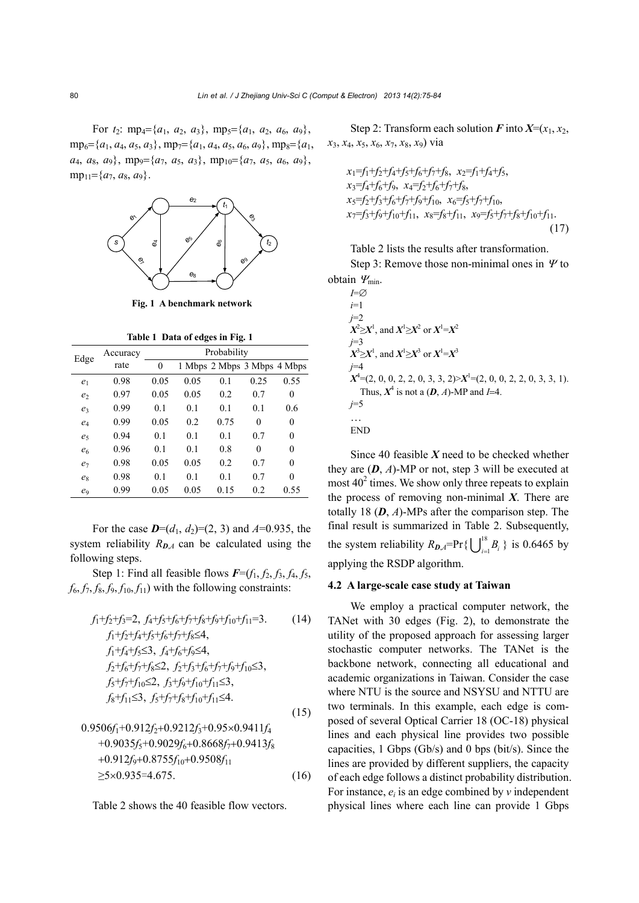For  $t_2$ : mp<sub>4</sub>={ $a_1$ ,  $a_2$ ,  $a_3$ }, mp<sub>5</sub>={ $a_1$ ,  $a_2$ ,  $a_6$ ,  $a_9$ },  $mp_6 = {a_1, a_4, a_5, a_3}, mp_7 = {a_1, a_4, a_5, a_6, a_9}, mp_8 = {a_1, a_1, a_1, a_2, a_1, a_2, a_3}$  $a_4$ ,  $a_8$ ,  $a_9$ }, mp<sub>9</sub>={ $a_7$ ,  $a_5$ ,  $a_3$ }, mp<sub>10</sub>={ $a_7$ ,  $a_5$ ,  $a_6$ ,  $a_9$ },  $mp_{11}=\{a_7, a_8, a_9\}.$ 



**Fig. 1 A benchmark network** 

**Table 1 Data of edges in Fig. 1**

| Edge           | Accuracy | Probability      |      |                             |          |                  |  |
|----------------|----------|------------------|------|-----------------------------|----------|------------------|--|
|                | rate     | $\boldsymbol{0}$ |      | 1 Mbps 2 Mbps 3 Mbps 4 Mbps |          |                  |  |
| e <sub>1</sub> | 0.98     | 0.05             | 0.05 | 0.1                         | 0.25     | 0.55             |  |
| e <sub>2</sub> | 0.97     | 0.05             | 0.05 | 0.2                         | 0.7      | $\theta$         |  |
| e <sub>3</sub> | 0.99     | 0.1              | 0.1  | 0.1                         | 0.1      | 0.6              |  |
| $e_4$          | 0.99     | 0.05             | 0.2  | 0.75                        | $\theta$ | $\overline{0}$   |  |
| e <sub>5</sub> | 0.94     | 0.1              | 0.1  | 0.1                         | 0.7      | $\boldsymbol{0}$ |  |
| e <sub>6</sub> | 0.96     | 0.1              | 0.1  | 0.8                         | $\theta$ | $\theta$         |  |
| $e_7$          | 0.98     | 0.05             | 0.05 | 0.2                         | 0.7      | $\overline{0}$   |  |
| $e_8$          | 0.98     | 0.1              | 0.1  | 0.1                         | 0.7      | $\theta$         |  |
| e9             | 0.99     | 0.05             | 0.05 | 0.15                        | 0.2      | 0.55             |  |

For the case  $D=(d_1, d_2)=(2, 3)$  and  $A=0.935$ , the system reliability  $R_{D,A}$  can be calculated using the following steps.

Step 1: Find all feasible flows  $\vec{F} = (f_1, f_2, f_3, f_4, f_5,$  $f_6$ ,  $f_7$ ,  $f_8$ ,  $f_9$ ,  $f_{10}$ ,  $f_{11}$ ) with the following constraints:

$$
f_1+f_2+f_3=2, f_4+f_5+f_6+f_7+f_8+f_9+f_{10}+f_{11}=3.
$$
 (14)  
\n
$$
f_1+f_2+f_4+f_5+f_6+f_7+f_8\le4,
$$
  
\n
$$
f_1+f_4+f_5\le3, f_4+f_6+f_9\le4,
$$
  
\n
$$
f_2+f_6+f_7+f_8\le2, f_2+f_3+f_6+f_7+f_9+f_{10}\le3,
$$
  
\n
$$
f_5+f_7+f_{10}\le2, f_3+f_9+f_{10}+f_{11}\le3,
$$
  
\n
$$
f_8+f_{11}\le3, f_5+f_7+f_8+f_{10}+f_{11}\le4.
$$
 (15)

$$
0.9506f_1 + 0.912f_2 + 0.9212f_3 + 0.95 \times 0.9411f_4
$$
  
+0.9035f\_5 + 0.9029f\_6 + 0.8668f\_7 + 0.9413f\_8  
+0.912f\_9 + 0.8755f\_{10} + 0.9508f\_{11}  
\ge 5 \times 0.935 = 4.675. (16)

Table 2 shows the 40 feasible flow vectors.

Step 2: Transform each solution  $\vec{F}$  into  $\vec{X} = (x_1, x_2, x_3)$ *x*3, *x*4, *x*5, *x*6, *x*7, *x*8, *x*9) via

$$
x_1=f_1+f_2+f_4+f_5+f_6+f_7+f_8, x_2=f_1+f_4+f_5,x_3=f_4+f_6+f_9, x_4=f_2+f_6+f_7+f_8,x_5=f_2+f_3+f_6+f_7+f_9+f_{10}, x_6=f_5+f_7+f_{10},x_7=f_3+f_9+f_{10}+f_{11}, x_8=f_8+f_{11}, x_9=f_5+f_7+f_8+f_{10}+f_{11}.
$$
\n(17)

Table 2 lists the results after transformation.

Step 3: Remove those non-minimal ones in  $\Psi$  to obtain  $\varPsi_{\min}$ .

$$
I=\varnothing
$$
  
\n $i=1$   
\n $j=2$   
\n $X^2 \ge X^1$ , and  $X^1 \ge X^2$  or  $X^1 = X^2$   
\n $j=3$   
\n $X^3 \ge X^1$ , and  $X^1 \ge X^3$  or  $X^1 = X^3$   
\n $j=4$   
\n $X^4 = (2, 0, 0, 2, 2, 0, 3, 3, 2) > X^1 = (2, 0, 0, 2, 2, 0, 3, 3, 1)$ .  
\nThus,  $X^4$  is not a  $(D, A)$ -MP and  $I=4$ .  
\n $j=5$ ...

END

Since 40 feasible *X* need to be checked whether they are  $(D, A)$ -MP or not, step 3 will be executed at most  $40<sup>2</sup>$  times. We show only three repeats to explain the process of removing non-minimal *X*. There are totally 18 (*D*, *A*)-MPs after the comparison step. The final result is summarized in Table 2. Subsequently, the system reliability  $R_{D,A}$ =Pr{ $\bigcup_{i=1}^{18} B_i$ } is 0.6465 by applying the RSDP algorithm.

#### **4.2 A large-scale case study at Taiwan**

We employ a practical computer network, the TANet with 30 edges (Fig. 2), to demonstrate the utility of the proposed approach for assessing larger stochastic computer networks. The TANet is the backbone network, connecting all educational and academic organizations in Taiwan. Consider the case where NTU is the source and NSYSU and NTTU are two terminals. In this example, each edge is composed of several Optical Carrier 18 (OC-18) physical lines and each physical line provides two possible capacities, 1 Gbps (Gb/s) and 0 bps (bit/s). Since the lines are provided by different suppliers, the capacity of each edge follows a distinct probability distribution. For instance, *ei* is an edge combined by *v* independent physical lines where each line can provide 1 Gbps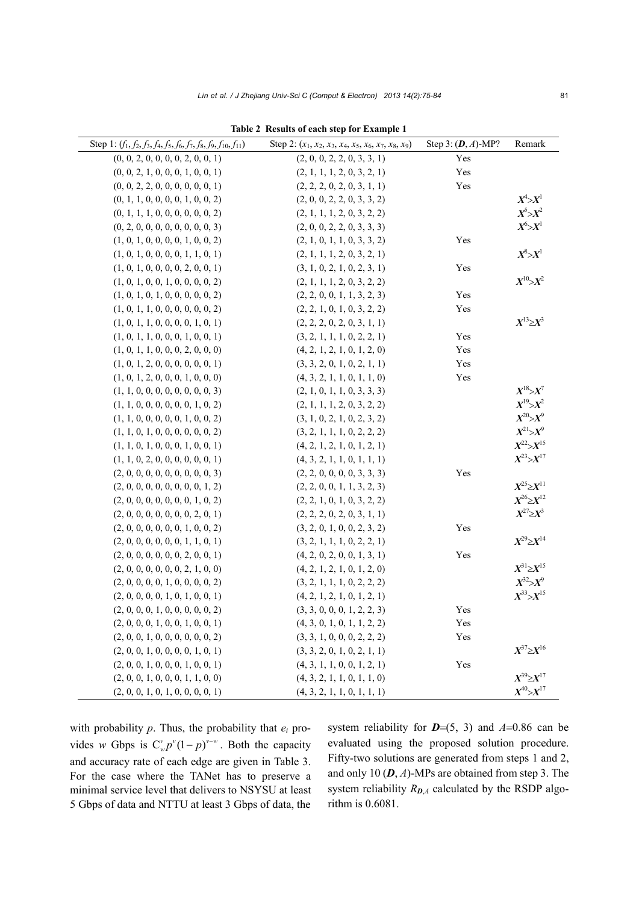| Step 1: $(f_1, f_2, f_3, f_4, f_5, f_6, f_7, f_8, f_9, f_{10}, f_{11})$ | Step 2: $(x_1, x_2, x_3, x_4, x_5, x_6, x_7, x_8, x_9)$ | Step 3: $(D, A)$ -MP? | Remark                                 |
|-------------------------------------------------------------------------|---------------------------------------------------------|-----------------------|----------------------------------------|
| (0, 0, 2, 0, 0, 0, 0, 2, 0, 0, 1)                                       | (2, 0, 0, 2, 2, 0, 3, 3, 1)                             | Yes                   |                                        |
| (0, 0, 2, 1, 0, 0, 0, 1, 0, 0, 1)                                       | (2, 1, 1, 1, 2, 0, 3, 2, 1)                             | Yes                   |                                        |
| (0, 0, 2, 2, 0, 0, 0, 0, 0, 0, 1)                                       | (2, 2, 2, 0, 2, 0, 3, 1, 1)                             | Yes                   |                                        |
| (0, 1, 1, 0, 0, 0, 0, 1, 0, 0, 2)                                       | (2, 0, 0, 2, 2, 0, 3, 3, 2)                             |                       | $X^4 > X^1$                            |
| (0, 1, 1, 1, 0, 0, 0, 0, 0, 0, 2)                                       | (2, 1, 1, 1, 2, 0, 3, 2, 2)                             |                       | $X^5 > X^2$                            |
| (0, 2, 0, 0, 0, 0, 0, 0, 0, 0, 3)                                       | (2, 0, 0, 2, 2, 0, 3, 3, 3)                             |                       | $X^6>\!\!\!\!\!\!\!\!\!X^1$            |
| (1, 0, 1, 0, 0, 0, 0, 1, 0, 0, 2)                                       | (2, 1, 0, 1, 1, 0, 3, 3, 2)                             | Yes                   |                                        |
| (1, 0, 1, 0, 0, 0, 0, 1, 1, 0, 1)                                       | (2, 1, 1, 1, 2, 0, 3, 2, 1)                             |                       | $X\!\!\!{}^8\!\!\!>\!\!X\!\!\!{}^1$    |
| (1, 0, 1, 0, 0, 0, 0, 2, 0, 0, 1)                                       | (3, 1, 0, 2, 1, 0, 2, 3, 1)                             | Yes                   |                                        |
| (1, 0, 1, 0, 0, 1, 0, 0, 0, 0, 2)                                       | (2, 1, 1, 1, 2, 0, 3, 2, 2)                             |                       |                                        |
| (1, 0, 1, 0, 1, 0, 0, 0, 0, 0, 2)                                       | (2, 2, 0, 0, 1, 1, 3, 2, 3)                             | Yes                   |                                        |
| (1, 0, 1, 1, 0, 0, 0, 0, 0, 0, 2)                                       | (2, 2, 1, 0, 1, 0, 3, 2, 2)                             | Yes                   |                                        |
| (1, 0, 1, 1, 0, 0, 0, 0, 1, 0, 1)                                       | (2, 2, 2, 0, 2, 0, 3, 1, 1)                             |                       | $X^{13}\!\!\geq\!\! X^3$               |
| (1, 0, 1, 1, 0, 0, 0, 1, 0, 0, 1)                                       | (3, 2, 1, 1, 1, 0, 2, 2, 1)                             | Yes                   |                                        |
| (1, 0, 1, 1, 0, 0, 0, 2, 0, 0, 0)                                       | (4, 2, 1, 2, 1, 0, 1, 2, 0)                             | Yes                   |                                        |
| (1, 0, 1, 2, 0, 0, 0, 0, 0, 0, 1)                                       | (3, 3, 2, 0, 1, 0, 2, 1, 1)                             | Yes                   |                                        |
| (1, 0, 1, 2, 0, 0, 0, 1, 0, 0, 0)                                       | (4, 3, 2, 1, 1, 0, 1, 1, 0)                             | Yes                   |                                        |
| (1, 1, 0, 0, 0, 0, 0, 0, 0, 0, 3)                                       | (2, 1, 0, 1, 1, 0, 3, 3, 3)                             |                       |                                        |
| (1, 1, 0, 0, 0, 0, 0, 0, 1, 0, 2)                                       | (2, 1, 1, 1, 2, 0, 3, 2, 2)                             |                       |                                        |
| (1, 1, 0, 0, 0, 0, 0, 1, 0, 0, 2)                                       | (3, 1, 0, 2, 1, 0, 2, 3, 2)                             |                       | $X^{20}\!\!\!\!\!\!\!\!\!\nearrow X^9$ |
| (1, 1, 0, 1, 0, 0, 0, 0, 0, 0, 2)                                       | (3, 2, 1, 1, 1, 0, 2, 2, 2)                             |                       | $X^{21}\!\!\!>\!\!X^9$                 |
| (1, 1, 0, 1, 0, 0, 0, 1, 0, 0, 1)                                       | (4, 2, 1, 2, 1, 0, 1, 2, 1)                             |                       | $X^{22} > X^{15}$                      |
| (1, 1, 0, 2, 0, 0, 0, 0, 0, 0, 1)                                       | (4, 3, 2, 1, 1, 0, 1, 1, 1)                             |                       | $X^{23} > X^{17}$                      |
| (2, 0, 0, 0, 0, 0, 0, 0, 0, 0, 3)                                       | (2, 2, 0, 0, 0, 0, 3, 3, 3)                             | Yes                   |                                        |
| (2, 0, 0, 0, 0, 0, 0, 0, 0, 1, 2)                                       | (2, 2, 0, 0, 1, 1, 3, 2, 3)                             |                       | $X^{25} \geq X^{11}$                   |
| (2, 0, 0, 0, 0, 0, 0, 0, 1, 0, 2)                                       | (2, 2, 1, 0, 1, 0, 3, 2, 2)                             |                       | $X^{26}\!\!\geq\!\! X^{12}$            |
| (2, 0, 0, 0, 0, 0, 0, 0, 2, 0, 1)                                       | (2, 2, 2, 0, 2, 0, 3, 1, 1)                             |                       | $X^{27}\!\!\geq\!\! X^3$               |
| (2, 0, 0, 0, 0, 0, 0, 1, 0, 0, 2)                                       | (3, 2, 0, 1, 0, 0, 2, 3, 2)                             | Yes                   |                                        |
| (2, 0, 0, 0, 0, 0, 0, 1, 1, 0, 1)                                       | (3, 2, 1, 1, 1, 0, 2, 2, 1)                             |                       | $X^{29} \geq X^{14}$                   |
| (2, 0, 0, 0, 0, 0, 0, 2, 0, 0, 1)                                       | (4, 2, 0, 2, 0, 0, 1, 3, 1)                             | Yes                   |                                        |
| (2, 0, 0, 0, 0, 0, 0, 2, 1, 0, 0)                                       | (4, 2, 1, 2, 1, 0, 1, 2, 0)                             |                       | $X^{31} \geq X^{15}$                   |
| (2, 0, 0, 0, 0, 1, 0, 0, 0, 0, 2)                                       | (3, 2, 1, 1, 1, 0, 2, 2, 2)                             |                       | $X^{32}>\chi^9$                        |
| (2, 0, 0, 0, 0, 1, 0, 1, 0, 0, 1)                                       | (4, 2, 1, 2, 1, 0, 1, 2, 1)                             |                       | $X^{33} > X^{15}$                      |
| (2, 0, 0, 0, 1, 0, 0, 0, 0, 0, 2)                                       | (3, 3, 0, 0, 0, 1, 2, 2, 3)                             | Yes                   |                                        |
| (2, 0, 0, 0, 1, 0, 0, 1, 0, 0, 1)                                       | (4, 3, 0, 1, 0, 1, 1, 2, 2)                             | Yes                   |                                        |
| (2, 0, 0, 1, 0, 0, 0, 0, 0, 0, 2)                                       | (3, 3, 1, 0, 0, 0, 2, 2, 2)                             | Yes                   |                                        |
| (2, 0, 0, 1, 0, 0, 0, 0, 1, 0, 1)                                       | (3, 3, 2, 0, 1, 0, 2, 1, 1)                             |                       | $X^{37} \geq X^{16}$                   |
| (2, 0, 0, 1, 0, 0, 0, 1, 0, 0, 1)                                       | (4, 3, 1, 1, 0, 0, 1, 2, 1)                             | Yes                   |                                        |
| (2, 0, 0, 1, 0, 0, 0, 1, 1, 0, 0)                                       | (4, 3, 2, 1, 1, 0, 1, 1, 0)                             |                       | $X^{39} > X^{17}$                      |
| (2, 0, 0, 1, 0, 1, 0, 0, 0, 0, 1)                                       | (4, 3, 2, 1, 1, 0, 1, 1, 1)                             |                       | $X^{40} > X^{17}$                      |

**Table 2 Results of each step for Example 1** 

with probability *p*. Thus, the probability that *ei* provides *w* Gbps is  $C_w^v p^v (1-p)^{v-w}$ . Both the capacity and accuracy rate of each edge are given in Table 3. For the case where the TANet has to preserve a minimal service level that delivers to NSYSU at least 5 Gbps of data and NTTU at least 3 Gbps of data, the

system reliability for  $D=(5, 3)$  and  $A=0.86$  can be evaluated using the proposed solution procedure. Fifty-two solutions are generated from steps 1 and 2, and only 10 (*D*, *A*)-MPs are obtained from step 3. The system reliability  $R_{D,A}$  calculated by the RSDP algorithm is 0.6081.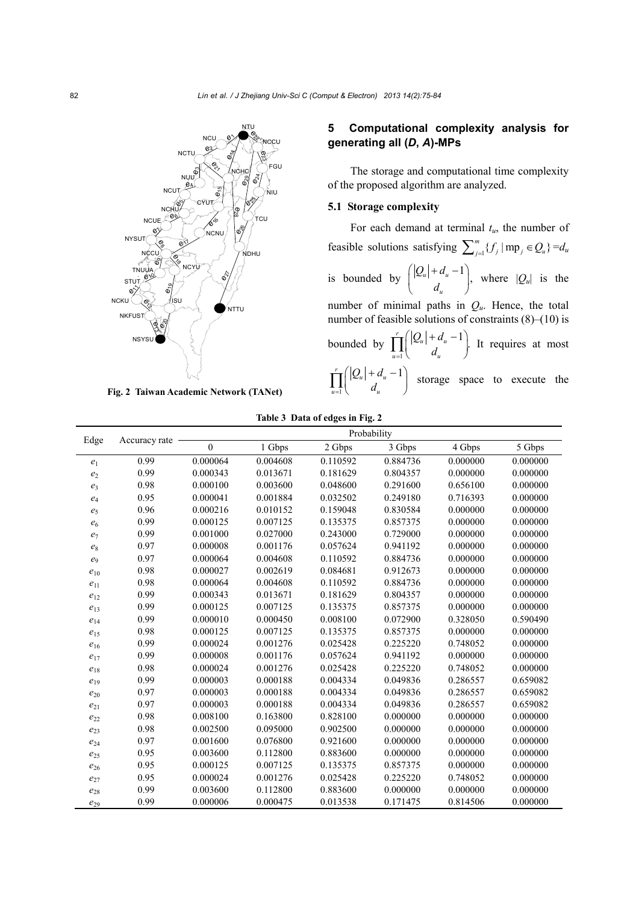

**Fig. 2 Taiwan Academic Network (TANet)**

# **5 Computational complexity analysis for generating all (***D***,** *A***)-MPs**

The storage and computational time complexity of the proposed algorithm are analyzed.

### **5.1 Storage complexity**

For each demand at terminal *tu*, the number of feasible solutions satisfying  $\sum_{j=1}^{m} {f_j \mid mp_j \in Q_u} = d_u$ is bounded by  $\left( \left| \mathcal{Q}_u \right| + d_u - 1 \right)$ , *u*  $|Q_u| + d$  $\begin{pmatrix} |Q_u| + d_u - 1 \\ d_u \end{pmatrix}$ , where  $|Q_u|$  is the number of minimal paths in  $Q_u$ . Hence, the total number of feasible solutions of constraints (8)–(10) is bounded by  $\prod_{u=1}^{r} \left( \frac{|Q_u| + d_u - 1}{d_u} \right)$ .  $u=1$   $u_u$  $Q_u$  + d  $\prod_{u=1}^{r} \left( \frac{|Q_u| + d_u - 1}{d_u} \right)$ . It requires at most 1  $\int_{\mathbb{T}}(|Q_u|+d_u-1)$  $u=1$   $u_u$  $Q_u$  + *d*  $\prod_{u=1}^{r} \left( \left| \mathcal{Q}_{u} \right| + d_{u} - 1 \right)$  storage space to execute the

| Table 3 Data of edges in Fig. 2 |  |  |  |
|---------------------------------|--|--|--|
|---------------------------------|--|--|--|

|                    | Accuracy rate | Probability    |          |          |                   |                   |                   |
|--------------------|---------------|----------------|----------|----------|-------------------|-------------------|-------------------|
| Edge               |               | $\overline{0}$ | 1 Gbps   | 2 Gbps   | $3~\mathrm{Gbps}$ | $4~\mathrm{Gbps}$ | $5~\mathrm{Gbps}$ |
| $e_1$              | 0.99          | 0.000064       | 0.004608 | 0.110592 | 0.884736          | 0.000000          | 0.000000          |
| $\mathfrak{e}_2$   | 0.99          | 0.000343       | 0.013671 | 0.181629 | 0.804357          | 0.000000          | 0.000000          |
| $e_3$              | 0.98          | 0.000100       | 0.003600 | 0.048600 | 0.291600          | 0.656100          | 0.000000          |
| $e_4$              | 0.95          | 0.000041       | 0.001884 | 0.032502 | 0.249180          | 0.716393          | 0.000000          |
| e <sub>5</sub>     | 0.96          | 0.000216       | 0.010152 | 0.159048 | 0.830584          | 0.000000          | 0.000000          |
| $\boldsymbol{e}_6$ | 0.99          | 0.000125       | 0.007125 | 0.135375 | 0.857375          | 0.000000          | 0.000000          |
| $e_7$              | 0.99          | 0.001000       | 0.027000 | 0.243000 | 0.729000          | 0.000000          | 0.000000          |
| $\mathfrak{e}_8$   | 0.97          | 0.000008       | 0.001176 | 0.057624 | 0.941192          | 0.000000          | 0.000000          |
| $e_9$              | 0.97          | 0.000064       | 0.004608 | 0.110592 | 0.884736          | 0.000000          | 0.000000          |
| $e_{10}$           | 0.98          | 0.000027       | 0.002619 | 0.084681 | 0.912673          | 0.000000          | 0.000000          |
| $e_{11}$           | 0.98          | 0.000064       | 0.004608 | 0.110592 | 0.884736          | 0.000000          | 0.000000          |
| $e_{12}$           | 0.99          | 0.000343       | 0.013671 | 0.181629 | 0.804357          | 0.000000          | 0.000000          |
| $e_{13}$           | 0.99          | 0.000125       | 0.007125 | 0.135375 | 0.857375          | 0.000000          | 0.000000          |
| $e_{14}$           | 0.99          | 0.000010       | 0.000450 | 0.008100 | 0.072900          | 0.328050          | 0.590490          |
| $e_{15}$           | 0.98          | 0.000125       | 0.007125 | 0.135375 | 0.857375          | 0.000000          | 0.000000          |
| $e_{16}$           | 0.99          | 0.000024       | 0.001276 | 0.025428 | 0.225220          | 0.748052          | 0.000000          |
| $e_{17}$           | 0.99          | 0.000008       | 0.001176 | 0.057624 | 0.941192          | 0.000000          | 0.000000          |
| $e_{18}$           | 0.98          | 0.000024       | 0.001276 | 0.025428 | 0.225220          | 0.748052          | 0.000000          |
| $e_{19}$           | 0.99          | 0.000003       | 0.000188 | 0.004334 | 0.049836          | 0.286557          | 0.659082          |
| $e_{20}$           | 0.97          | 0.000003       | 0.000188 | 0.004334 | 0.049836          | 0.286557          | 0.659082          |
| $e_{21}$           | 0.97          | 0.000003       | 0.000188 | 0.004334 | 0.049836          | 0.286557          | 0.659082          |
| $e_{22}$           | 0.98          | 0.008100       | 0.163800 | 0.828100 | 0.000000          | 0.000000          | 0.000000          |
| $e_{23}$           | 0.98          | 0.002500       | 0.095000 | 0.902500 | 0.000000          | 0.000000          | 0.000000          |
| $e_{24}$           | 0.97          | 0.001600       | 0.076800 | 0.921600 | 0.000000          | 0.000000          | 0.000000          |
| $e_{25}$           | 0.95          | 0.003600       | 0.112800 | 0.883600 | 0.000000          | 0.000000          | 0.000000          |
| $e_{26}$           | 0.95          | 0.000125       | 0.007125 | 0.135375 | 0.857375          | 0.000000          | 0.000000          |
| $e_{27}$           | 0.95          | 0.000024       | 0.001276 | 0.025428 | 0.225220          | 0.748052          | 0.000000          |
| $e_{28}$           | 0.99          | 0.003600       | 0.112800 | 0.883600 | 0.000000          | 0.000000          | 0.000000          |
| $e_{29}$           | 0.99          | 0.000006       | 0.000475 | 0.013538 | 0.171475          | 0.814506          | 0.000000          |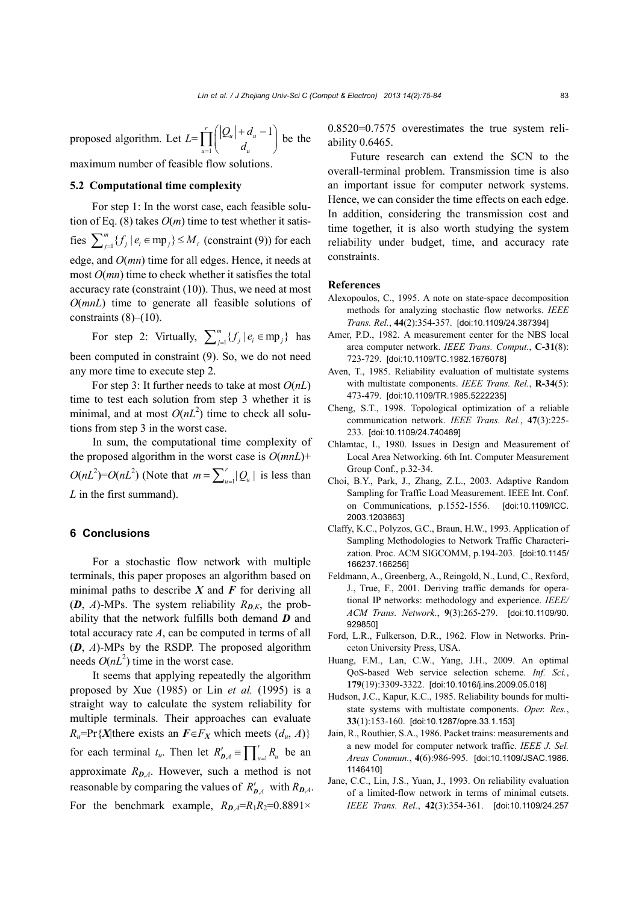proposed algorithm. Let *L*= 1  $\int_{\mathbf{T}}(|Q_u| + d_u - 1)$  $u=1$   $u_u$  $Q_u$  + d  $\prod_{u=1}^r \left( \frac{|Q_u| + d_u - 1}{d_u} \right)$  be the

maximum number of feasible flow solutions.

#### **5.2 Computational time complexity**

For step 1: In the worst case, each feasible solution of Eq.  $(8)$  takes  $O(m)$  time to test whether it satisfies  $\sum_{j=1}^{m} {f_j | e_i \in \text{mp}_j} \le M_i$  (constraint (9)) for each edge, and *O*(*mn*) time for all edges. Hence, it needs at most *O*(*mn*) time to check whether it satisfies the total accuracy rate (constraint (10)). Thus, we need at most *O*(*mnL*) time to generate all feasible solutions of constraints  $(8)$ – $(10)$ .

For step 2: Virtually,  $\sum_{j=1}^{m} {f_j | e_i \in mp_j}$  has been computed in constraint (9). So, we do not need any more time to execute step 2.

For step 3: It further needs to take at most *O*(*nL*) time to test each solution from step 3 whether it is minimal, and at most  $O(nL^2)$  time to check all solutions from step 3 in the worst case.

In sum, the computational time complexity of the proposed algorithm in the worst case is *O*(*mnL*)+  $O(nL^2) = O(nL^2)$  (Note that  $m = \sum_{u=1}^{r} |Q_u|$  is less than *L* in the first summand).

#### **6 Conclusions**

For a stochastic flow network with multiple terminals, this paper proposes an algorithm based on minimal paths to describe  $X$  and  $F$  for deriving all  $(D, A)$ -MPs. The system reliability  $R_{D,K}$ , the probability that the network fulfills both demand *D* and total accuracy rate *A*, can be computed in terms of all (*D*, *A*)-MPs by the RSDP. The proposed algorithm needs  $O(nL^2)$  time in the worst case.

It seems that applying repeatedly the algorithm proposed by Xue (1985) or Lin *et al.* (1995) is a straight way to calculate the system reliability for multiple terminals. Their approaches can evaluate  $R_u$ =Pr{*X*|there exists an  $F \in F_X$  which meets (*d<sub>u</sub>*, *A*)} for each terminal  $t_u$ . Then let  $R'_{D,A} \equiv \prod_{u=1}^r R_u$  be an approximate  $R_{D,A}$ . However, such a method is not reasonable by comparing the values of  $R'_{D,A}$  with  $R_{D,A}$ . For the benchmark example,  $R_{D,A} = R_1 R_2 = 0.8891 \times$ 

0.8520=0.7575 overestimates the true system reliability 0.6465.

Future research can extend the SCN to the overall-terminal problem. Transmission time is also an important issue for computer network systems. Hence, we can consider the time effects on each edge. In addition, considering the transmission cost and time together, it is also worth studying the system reliability under budget, time, and accuracy rate constraints.

#### **References**

- Alexopoulos, C., 1995. A note on state-space decomposition methods for analyzing stochastic flow networks. *IEEE Trans. Rel.*, **44**(2):354-357. [doi:10.1109/24.387394]
- Amer, P.D., 1982. A measurement center for the NBS local area computer network. *IEEE Trans. Comput.*, **C-31**(8): 723-729. [doi:10.1109/TC.1982.1676078]
- Aven, T., 1985. Reliability evaluation of multistate systems with multistate components. *IEEE Trans. Rel.*, **R-34**(5): 473-479. [doi:10.1109/TR.1985.5222235]
- Cheng, S.T., 1998. Topological optimization of a reliable communication network. *IEEE Trans. Rel.*, **47**(3):225- 233. [doi:10.1109/24.740489]
- Chlamtac, I., 1980. Issues in Design and Measurement of Local Area Networking. 6th Int. Computer Measurement Group Conf., p.32-34.
- Choi, B.Y., Park, J., Zhang, Z.L., 2003. Adaptive Random Sampling for Traffic Load Measurement. IEEE Int. Conf. on Communications, p.1552-1556. [doi:10.1109/ICC. 2003.1203863]
- Claffy, K.C., Polyzos, G.C., Braun, H.W., 1993. Application of Sampling Methodologies to Network Traffic Characterization. Proc. ACM SIGCOMM, p.194-203. [doi:10.1145/ 166237.166256]
- Feldmann, A., Greenberg, A., Reingold, N., Lund, C., Rexford, J., True, F., 2001. Deriving traffic demands for operational IP networks: methodology and experience. *IEEE/ ACM Trans. Network.*, **9**(3):265-279. [doi:10.1109/90. 929850]
- Ford, L.R., Fulkerson, D.R., 1962. Flow in Networks. Princeton University Press, USA.
- Huang, F.M., Lan, C.W., Yang, J.H., 2009. An optimal QoS-based Web service selection scheme. *Inf. Sci.*, **179**(19):3309-3322. [doi:10.1016/j.ins.2009.05.018]
- Hudson, J.C., Kapur, K.C., 1985. Reliability bounds for multistate systems with multistate components. *Oper. Res.*, **33**(1):153-160. [doi:10.1287/opre.33.1.153]
- Jain, R., Routhier, S.A., 1986. Packet trains: measurements and a new model for computer network traffic. *IEEE J. Sel. Areas Commun.*, **4**(6):986-995. [doi:10.1109/JSAC.1986. 1146410]
- Jane, C.C., Lin, J.S., Yuan, J., 1993. On reliability evaluation of a limited-flow network in terms of minimal cutsets. *IEEE Trans. Rel.*, **42**(3):354-361. [doi:10.1109/24.257